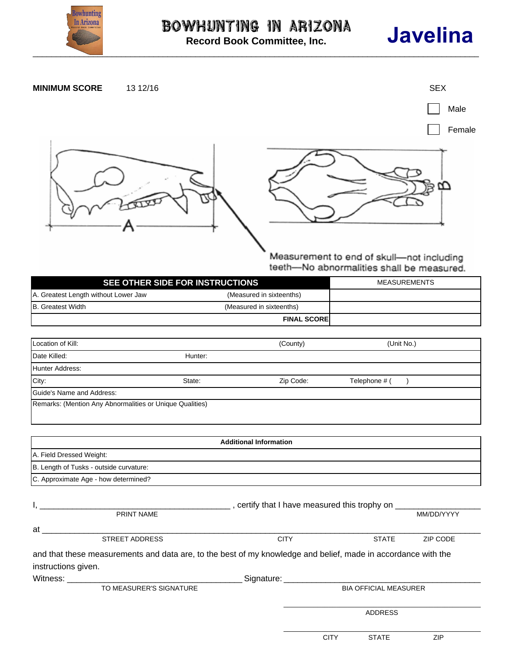

**Record Book Committee, Inc.**

## **Javelina**



Measurement to end of skull-not including teeth-No abnormalities shall be measured.

| SEE OTHER SIDE FOR INSTRUCTIONS      |                          | MEASUREMENTS |  |
|--------------------------------------|--------------------------|--------------|--|
| A. Greatest Length without Lower Jaw | (Measured in sixteenths) |              |  |
| B. Greatest Width                    | (Measured in sixteenths) |              |  |
|                                      | <b>FINAL SCOREI</b>      |              |  |

| Location of Kill:                                        |         | (County)  | (Unit No.)    |  |
|----------------------------------------------------------|---------|-----------|---------------|--|
| Date Killed:                                             | Hunter: |           |               |  |
| Hunter Address:                                          |         |           |               |  |
| City:                                                    | State:  | Zip Code: | Telephone # ( |  |
| Guide's Name and Address:                                |         |           |               |  |
| Remarks: (Mention Any Abnormalities or Unique Qualities) |         |           |               |  |

|                                         |                                                                                                                                                                                                                               | <b>Additional Information</b>                                |                              |              |            |
|-----------------------------------------|-------------------------------------------------------------------------------------------------------------------------------------------------------------------------------------------------------------------------------|--------------------------------------------------------------|------------------------------|--------------|------------|
| A. Field Dressed Weight:                |                                                                                                                                                                                                                               |                                                              |                              |              |            |
| B. Length of Tusks - outside curvature: |                                                                                                                                                                                                                               |                                                              |                              |              |            |
| C. Approximate Age - how determined?    |                                                                                                                                                                                                                               |                                                              |                              |              |            |
| $\mathbf{I}$ ,                          |                                                                                                                                                                                                                               | ____, certify that I have measured this trophy on __________ |                              |              |            |
|                                         | PRINT NAME                                                                                                                                                                                                                    |                                                              |                              |              | MM/DD/YYYY |
| at                                      |                                                                                                                                                                                                                               |                                                              |                              |              |            |
|                                         | <b>STREET ADDRESS</b>                                                                                                                                                                                                         | <b>CITY</b>                                                  |                              | <b>STATE</b> | ZIP CODE   |
|                                         | and that these measurements and data are, to the best of my knowledge and belief, made in accordance with the                                                                                                                 |                                                              |                              |              |            |
| instructions given.                     |                                                                                                                                                                                                                               |                                                              |                              |              |            |
|                                         | Witness: When the contract of the contract of the contract of the contract of the contract of the contract of the contract of the contract of the contract of the contract of the contract of the contract of the contract of |                                                              | Signature: Signature:        |              |            |
| TO MEASURER'S SIGNATURE                 |                                                                                                                                                                                                                               |                                                              | <b>BIA OFFICIAL MEASURER</b> |              |            |
|                                         |                                                                                                                                                                                                                               |                                                              | <b>ADDRESS</b>               |              |            |
|                                         |                                                                                                                                                                                                                               |                                                              | <b>CITY</b>                  | <b>STATE</b> | ZIP        |